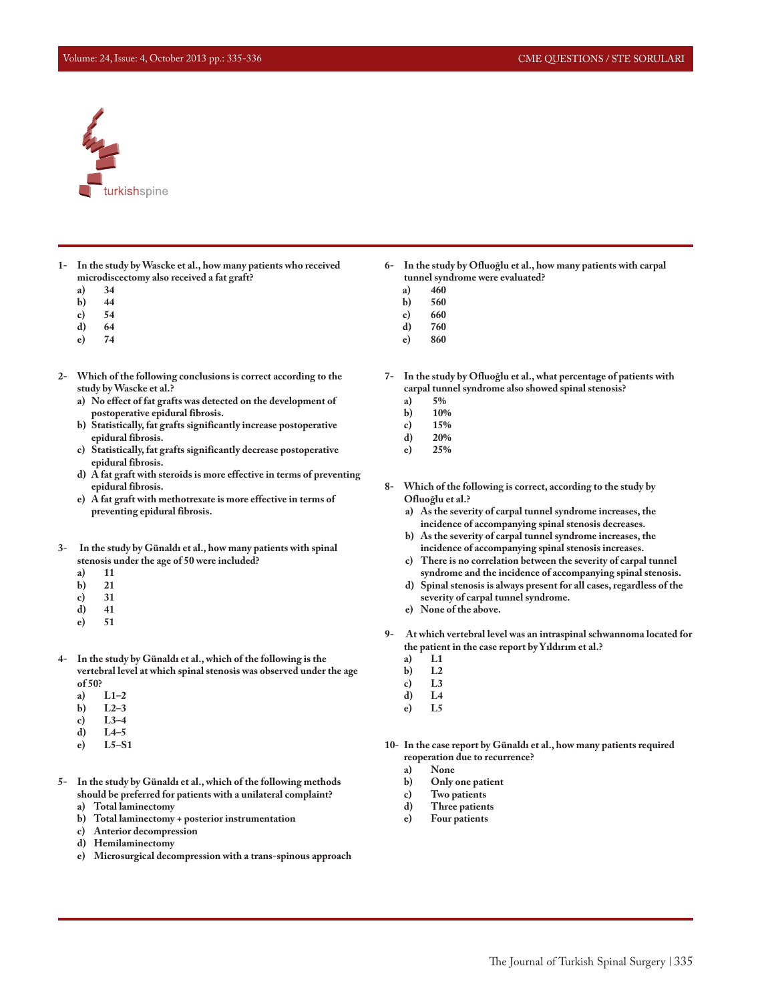## Volume: 24, Issue: 4, October 2013 pp.: 335-336 CME QUESTIONS / STE SORULARI



- **1- In the study by Wascke et al., how many patients who received microdiscectomy also received a fat graft?**
	- **a) 34**
	- **b**) **c**)
	- **c) 54**
	- **d) 64**
	- **e) 74**
- **2- Which of the following conclusions is correct according to the study by Wascke et al.?**
	- **a) No effect of fat grafts was detected on the development of postoperative epidural fibrosis.**
	- **b) Statistically, fat grafts significantly increase postoperative epidural fibrosis.**
	- **c) Statistically, fat grafts significantly decrease postoperative epidural fibrosis.**
	- **d) A fat graft with steroids is more effective in terms of preventing epidural fibrosis.**
	- **e) A fat graft with methotrexate is more effective in terms of preventing epidural fibrosis.**
- **3- In the study by Günaldı et al., how many patients with spinal stenosis under the age of 50 were included?**
	- **a) 11**
	- **b) 21**
	- **c) 31**
	- **d) 41 e) 51**
	-
- **4- In the study by Günaldı et al., which of the following is the vertebral level at which spinal stenosis was observed under the age of 50?**
	- **a) L1–2**
	- **b) L2–3**
	- **c) L3–4**
	- **d) L4–5**
	- **e) L5–S1**
- **5- In the study by Günaldı et al., which of the following methods should be preferred for patients with a unilateral complaint?**
	- **a) Total laminectomy**
	- **b) Total laminectomy + posterior instrumentation**
	- **c) Anterior decompression**
	- **d) Hemilaminectomy**
	- **e) Microsurgical decompression with a trans-spinous approach**
- **6- In the study by Ofluoğlu et al., how many patients with carpal tunnel syndrome were evaluated?**
	- **a) 460**
	- **b) 560**
	- **c) 660**
	- **d) 760**
	- **e) 860**
- **7- In the study by Ofluoğlu et al., what percentage of patients with carpal tunnel syndrome also showed spinal stenosis?**
	- **a) 5%**
	- **b) 10%**
	- **c) 15%**
	- **d) 20% e) 25%**
	-
- **8- Which of the following is correct, according to the study by Ofluoğlu et al.?**
	- **a) As the severity of carpal tunnel syndrome increases, the incidence of accompanying spinal stenosis decreases.**
	- **b) As the severity of carpal tunnel syndrome increases, the incidence of accompanying spinal stenosis increases.**
	- **c) There is no correlation between the severity of carpal tunnel syndrome and the incidence of accompanying spinal stenosis.**
	- **d) Spinal stenosis is always present for all cases, regardless of the severity of carpal tunnel syndrome.**
	- **e) None of the above.**
- **9- At which vertebral level was an intraspinal schwannoma located for the patient in the case report by Yıldırım et al.?**
	-
	- **a) L1 b) L2**
	- **c) L3**
	- **d) L4**
	- **e) L5**
- **10- In the case report by Günaldı et al., how many patients required reoperation due to recurrence?**
	-
	- **a) None b) Only one patient**
	- **c) Two patients**
	- **d) Three patients**
	- **e) Four patients**